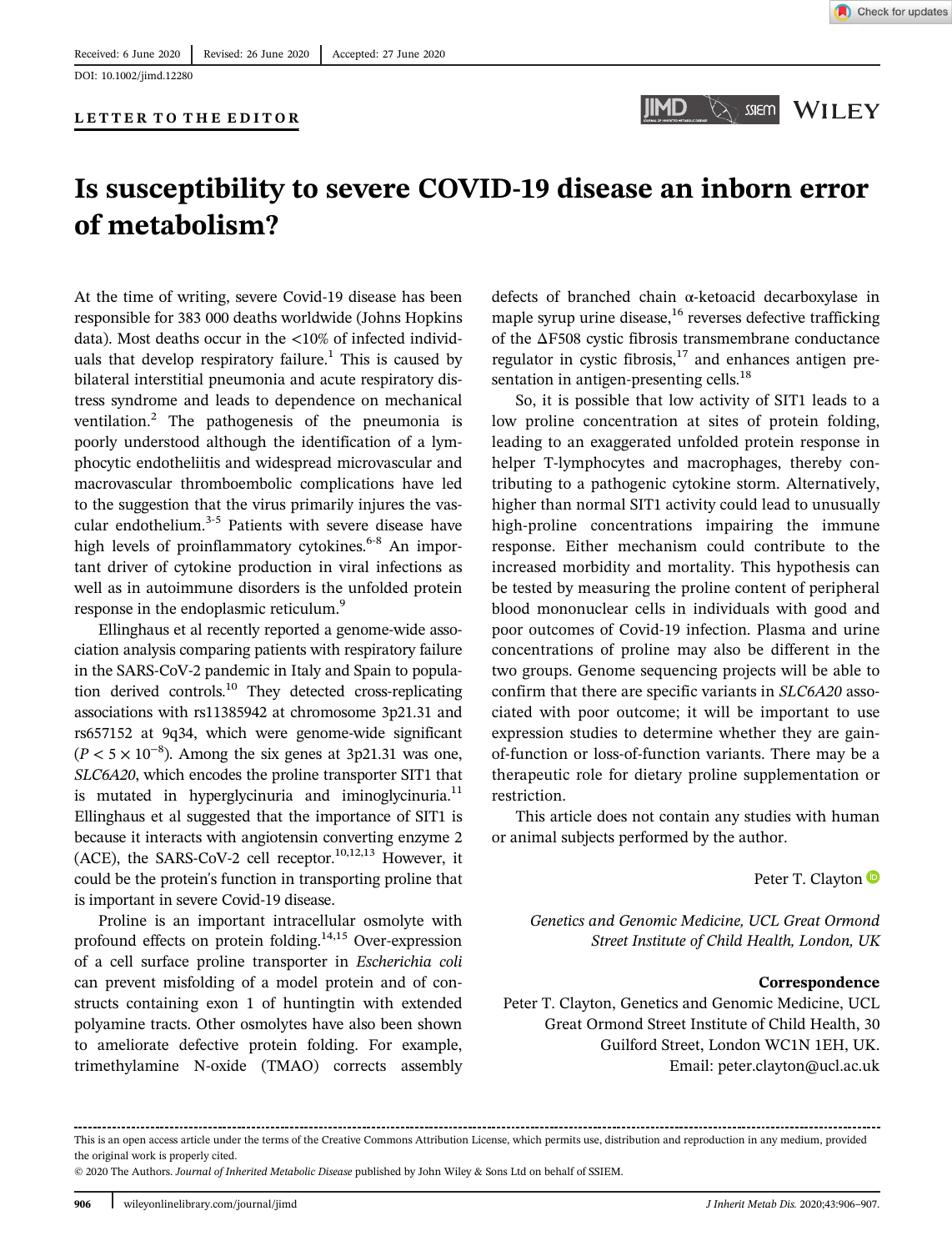DOI: 10.1002/jimd.12280

### LETTER TO THE EDITOR



# Is susceptibility to severe COVID-19 disease an inborn error of metabolism?

At the time of writing, severe Covid-19 disease has been responsible for 383 000 deaths worldwide (Johns Hopkins data). Most deaths occur in the <10% of infected individuals that develop respiratory failure.<sup>1</sup> This is caused by bilateral interstitial pneumonia and acute respiratory distress syndrome and leads to dependence on mechanical ventilation.<sup>2</sup> The pathogenesis of the pneumonia is poorly understood although the identification of a lymphocytic endotheliitis and widespread microvascular and macrovascular thromboembolic complications have led to the suggestion that the virus primarily injures the vascular endothelium.<sup>3-5</sup> Patients with severe disease have high levels of proinflammatory cytokines. $6-8$  An important driver of cytokine production in viral infections as well as in autoimmune disorders is the unfolded protein response in the endoplasmic reticulum.<sup>9</sup>

Ellinghaus et al recently reported a genome-wide association analysis comparing patients with respiratory failure in the SARS-CoV-2 pandemic in Italy and Spain to population derived controls.10 They detected cross-replicating associations with rs11385942 at chromosome 3p21.31 and rs657152 at 9q34, which were genome-wide significant  $(P < 5 \times 10^{-8})$ . Among the six genes at 3p21.31 was one, SLC6A20, which encodes the proline transporter SIT1 that is mutated in hyperglycinuria and iminoglycinuria. $^{11}$ Ellinghaus et al suggested that the importance of SIT1 is because it interacts with angiotensin converting enzyme 2 (ACE), the SARS-CoV-2 cell receptor.<sup>10,12,13</sup> However, it could be the protein's function in transporting proline that is important in severe Covid-19 disease.

Proline is an important intracellular osmolyte with profound effects on protein folding. $14,15$  Over-expression of a cell surface proline transporter in Escherichia coli can prevent misfolding of a model protein and of constructs containing exon 1 of huntingtin with extended polyamine tracts. Other osmolytes have also been shown to ameliorate defective protein folding. For example, trimethylamine N-oxide (TMAO) corrects assembly

defects of branched chain α-ketoacid decarboxylase in maple syrup urine disease, $16$  reverses defective trafficking of the ΔF508 cystic fibrosis transmembrane conductance regulator in cystic fibrosis, $17$  and enhances antigen presentation in antigen-presenting cells.<sup>18</sup>

So, it is possible that low activity of SIT1 leads to a low proline concentration at sites of protein folding, leading to an exaggerated unfolded protein response in helper T-lymphocytes and macrophages, thereby contributing to a pathogenic cytokine storm. Alternatively, higher than normal SIT1 activity could lead to unusually high-proline concentrations impairing the immune response. Either mechanism could contribute to the increased morbidity and mortality. This hypothesis can be tested by measuring the proline content of peripheral blood mononuclear cells in individuals with good and poor outcomes of Covid-19 infection. Plasma and urine concentrations of proline may also be different in the two groups. Genome sequencing projects will be able to confirm that there are specific variants in SLC6A20 associated with poor outcome; it will be important to use expression studies to determine whether they are gainof-function or loss-of-function variants. There may be a therapeutic role for dietary proline supplementation or restriction.

This article does not contain any studies with human or animal subjects performed by the author.

Peter T. Clayton  $\bullet$ 

Genetics and Genomic Medicine, UCL Great Ormond Street Institute of Child Health, London, UK

#### Correspondence

Peter T. Clayton, Genetics and Genomic Medicine, UCL Great Ormond Street Institute of Child Health, 30 Guilford Street, London WC1N 1EH, UK. Email: [peter.clayton@ucl.ac.uk](mailto:peter.clayton@ucl.ac.uk)

© 2020 The Authors. Journal of Inherited Metabolic Disease published by John Wiley & Sons Ltd on behalf of SSIEM.

This is an open access article under the terms of the Creative Commons Attribution License, which permits use, distribution and reproduction in any medium, provided the original work is properly cited.